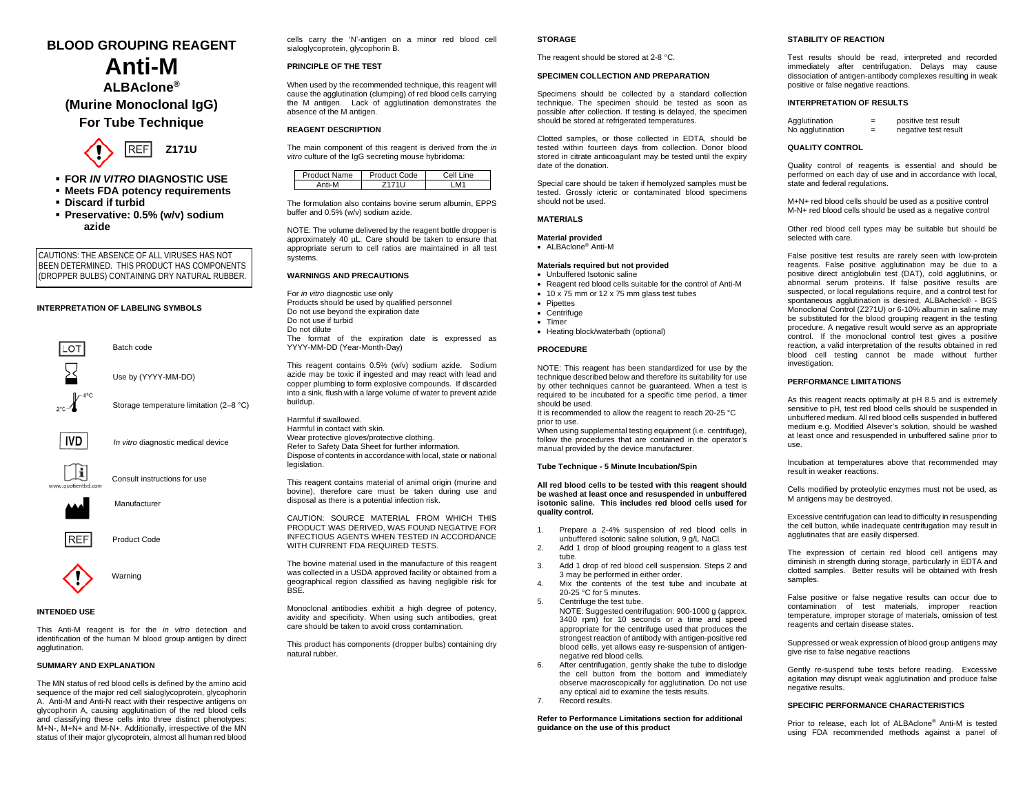# **BLOOD GROUPING REAGENT Anti-M ALBAclone®**

**(Murine Monoclonal IgG) For Tube Technique**



- **FOR** *IN VITRO* **DIAGNOSTIC USE**
- **Meets FDA potency requirements**
- **Discard if turbid**
- **Preservative: 0.5% (w/v) sodium azide**

CAUTIONS: THE ABSENCE OF ALL VIRUSES HAS NOT BEEN DETERMINED. THIS PRODUCT HAS COMPONENTS (DROPPER BULBS) CONTAINING DRY NATURAL RUBBER.

#### **INTERPRETATION OF LABELING SYMBOLS**



*In vitro* diagnostic medical device

Manufacturer

**REF** Product Code



#### **INTENDED USE**

This Anti-M reagent is for the *in vitro* detection and identification of the human M blood group antigen by direct agglutination.

## **SUMMARY AND EXPLANATION**

The MN status of red blood cells is defined by the amino acid sequence of the major red cell sialoglycoprotein, glycophorin A. Anti-M and Anti-N react with their respective antigens on glycophorin A, causing agglutination of the red blood cells and classifying these cells into three distinct phenotypes: M+N-, M+N+ and M-N+. Additionally, irrespective of the MN status of their major glycoprotein, almost all human red blood

cells carry the 'N'-antigen on a minor red blood cell sialoglycoprotein, glycophorin B.

## **PRINCIPLE OF THE TEST**

When used by the recommended technique, this reagent will cause the agglutination (clumping) of red blood cells carrying the M antigen. Lack of agglutination demonstrates the absence of the M antigen.

#### **REAGENT DESCRIPTION**

The main component of this reagent is derived from the *in vitro* culture of the IgG secreting mouse hybridoma:

| duct Name. | Code<br>Product | ام ۲<br><b>INA</b> |
|------------|-----------------|--------------------|
| Anti-M     |                 |                    |

The formulation also contains bovine serum albumin, EPPS buffer and 0.5% (w/v) sodium azide.

NOTE: The volume delivered by the reagent bottle dropper is approximately 40 µL. Care should be taken to ensure that appropriate serum to cell ratios are maintained in all test systems.

#### **WARNINGS AND PRECAUTIONS**

For *in vitro* diagnostic use only Products should be used by qualified personnel Do not use beyond the expiration date Do not use if turbid Do not dilute The format of the expiration date is expressed as YYYY-MM-DD (Year-Month-Day)

This reagent contains 0.5% (w/v) sodium azide. Sodium azide may be toxic if ingested and may react with lead and copper plumbing to form explosive compounds. If discarded into a sink, flush with a large volume of water to prevent azide buildup.

Harmful if swallowed. Harmful in contact with skin. Wear protective gloves/protective clothing. Refer to Safety Data Sheet for further information. Dispose of contents in accordance with local, state or national legislation.

This reagent contains material of animal origin (murine and bovine), therefore care must be taken during use and disposal as there is a potential infection risk.

CAUTION: SOURCE MATERIAL FROM WHICH THIS PRODUCT WAS DERIVED, WAS FOUND NEGATIVE FOR INFECTIOUS AGENTS WHEN TESTED IN ACCORDANCE WITH CURRENT FDA REQUIRED TESTS.

The bovine material used in the manufacture of this reagent was collected in a USDA approved facility or obtained from a geographical region classified as having negligible risk for **BSE** 

Monoclonal antibodies exhibit a high degree of potency, avidity and specificity. When using such antibodies, great care should be taken to avoid cross contamination*.*

This product has components (dropper bulbs) containing dry natural rubber.

#### **STORAGE**

The reagent should be stored at 2-8 °C.

#### **SPECIMEN COLLECTION AND PREPARATION**

Specimens should be collected by a standard collection technique. The specimen should be tested as soon as possible after collection. If testing is delayed, the specimen should be stored at refrigerated temperatures.

Clotted samples, or those collected in EDTA, should be tested within fourteen days from collection. Donor blood stored in citrate anticoagulant may be tested until the expiry date of the donation.

Special care should be taken if hemolyzed samples must be tested. Grossly icteric or contaminated blood specimens should not be used.

## **MATERIALS**

**Material provided** • ALBAclone® Anti-M

## **Materials required but not provided**

- Unbuffered Isotonic saline
- Reagent red blood cells suitable for the control of Anti-M
- 10 x 75 mm or 12 x 75 mm glass test tubes
- Pipettes
- Centrifuge
	- Timer • Heating block/waterbath (optional)
	-

#### **PROCEDURE**

NOTE: This reagent has been standardized for use by the technique described below and therefore its suitability for use by other techniques cannot be quaranteed. When a test is required to be incubated for a specific time period, a timer should be used.

It is recommended to allow the reagent to reach 20-25 °C prior to use.

When using supplemental testing equipment (i.e. centrifuge), follow the procedures that are contained in the operator's manual provided by the device manufacturer.

## **Tube Technique - 5 Minute Incubation/Spin**

**All red blood cells to be tested with this reagent should be washed at least once and resuspended in unbuffered isotonic saline. This includes red blood cells used for quality control.**

- 1. Prepare a 2-4% suspension of red blood cells in unbuffered isotonic saline solution, 9 g/L NaCl.
- 2. Add 1 drop of blood grouping reagent to a glass test tube.
- 3. Add 1 drop of red blood cell suspension. Steps 2 and 3 may be performed in either order.
- 4. Mix the contents of the test tube and incubate at 20-25 °C for 5 minutes.
- 5. Centrifuge the test tube. NOTE: Suggested centrifugation: 900-1000 g (approx. 3400 rpm) for 10 seconds or a time and speed appropriate for the centrifuge used that produces the strongest reaction of antibody with antigen-positive red blood cells, yet allows easy re-suspension of antigennegative red blood cells.
- 6. After centrifugation, gently shake the tube to dislodge the cell button from the bottom and immediately observe macroscopically for agglutination. Do not use any optical aid to examine the tests results.
- 7. Record results.

**Refer to Performance Limitations section for additional guidance on the use of this product**

## **STABILITY OF REACTION**

Test results should be read, interpreted and recorded immediately after centrifugation. Delays may cause dissociation of antigen-antibody complexes resulting in weak positive or false negative reactions.

#### **INTERPRETATION OF RESULTS**

| =   | positive test result |
|-----|----------------------|
| $=$ | negative test result |
|     |                      |

#### **QUALITY CONTROL**

Quality control of reagents is essential and should be performed on each day of use and in accordance with local, state and federal regulations.

M+N+ red blood cells should be used as a positive control M-N+ red blood cells should be used as a negative control

Other red blood cell types may be suitable but should be selected with care.

False positive test results are rarely seen with low-protein reagents. False positive agglutination may be due to a positive direct antiglobulin test (DAT), cold agglutinins, or abnormal serum proteins. If false positive results are suspected, or local regulations require, and a control test for spontaneous agglutination is desired, ALBAcheck® - BGS Monoclonal Control (Z271U) or 6-10% albumin in saline may be substituted for the blood grouping reagent in the testing procedure. A negative result would serve as an appropriate control. If the monoclonal control test gives a positive reaction, a valid interpretation of the results obtained in red blood cell testing cannot be made without further investigation.

## **PERFORMANCE LIMITATIONS**

As this reagent reacts optimally at pH 8.5 and is extremely sensitive to pH, test red blood cells should be suspended in unbuffered medium. All red blood cells suspended in buffered medium e.g. Modified Alsever's solution, should be washed at least once and resuspended in unbuffered saline prior to use.

Incubation at temperatures above that recommended may result in weaker reactions.

Cells modified by proteolytic enzymes must not be used, as M antigens may be destroyed.

Excessive centrifugation can lead to difficulty in resuspending the cell button, while inadequate centrifugation may result in agglutinates that are easily dispersed.

The expression of certain red blood cell antigens may diminish in strength during storage, particularly in EDTA and clotted samples. Better results will be obtained with fresh samples

False positive or false negative results can occur due to contamination of test materials, improper reaction temperature, improper storage of materials, omission of test reagents and certain disease states.

Suppressed or weak expression of blood group antigens may give rise to false negative reactions

Gently re-suspend tube tests before reading. Excessive agitation may disrupt weak agglutination and produce false negative results.

#### **SPECIFIC PERFORMANCE CHARACTERISTICS**

Prior to release, each lot of ALBAclone® Anti-M is tested using FDA recommended methods against a panel of